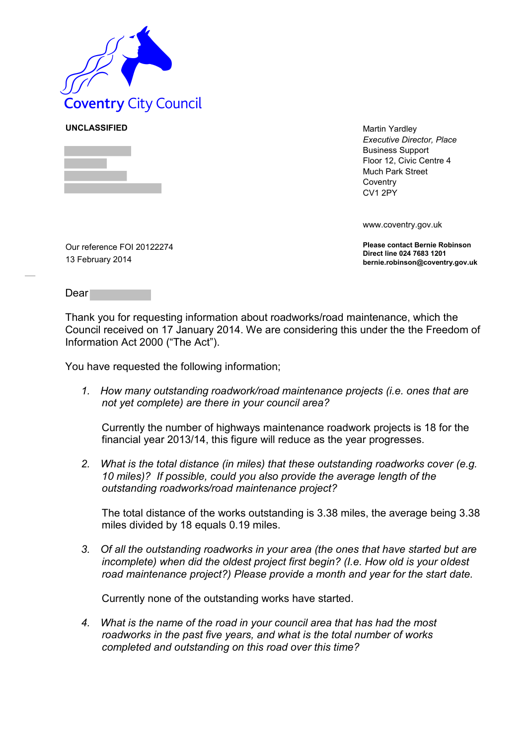

**UNCLASSIFIED** Martin Yardley *Executive Director, Place* Business Support Floor 12, Civic Centre 4 Much Park Street **Coventry** CV1 2PY

www.coventry.gov.uk

**Please contact Bernie Robinson Direct line 024 7683 1201 bernie.robinson@coventry.gov.uk**

Our reference FOI 20122274 13 February 2014

Dear

Thank you for requesting information about roadworks/road maintenance, which the Council received on 17 January 2014. We are considering this under the the Freedom of Information Act 2000 ("The Act").

You have requested the following information;

*1. How many outstanding roadwork/road maintenance projects (i.e. ones that are not yet complete) are there in your council area?* 

Currently the number of highways maintenance roadwork projects is 18 for the financial year 2013/14, this figure will reduce as the year progresses.

*2. What is the total distance (in miles) that these outstanding roadworks cover (e.g. 10 miles)? If possible, could you also provide the average length of the outstanding roadworks/road maintenance project?* 

The total distance of the works outstanding is 3.38 miles, the average being 3.38 miles divided by 18 equals 0.19 miles.

*3. Of all the outstanding roadworks in your area (the ones that have started but are incomplete) when did the oldest project first begin? (I.e. How old is your oldest road maintenance project?) Please provide a month and year for the start date.* 

Currently none of the outstanding works have started.

*4. What is the name of the road in your council area that has had the most roadworks in the past five years, and what is the total number of works completed and outstanding on this road over this time?*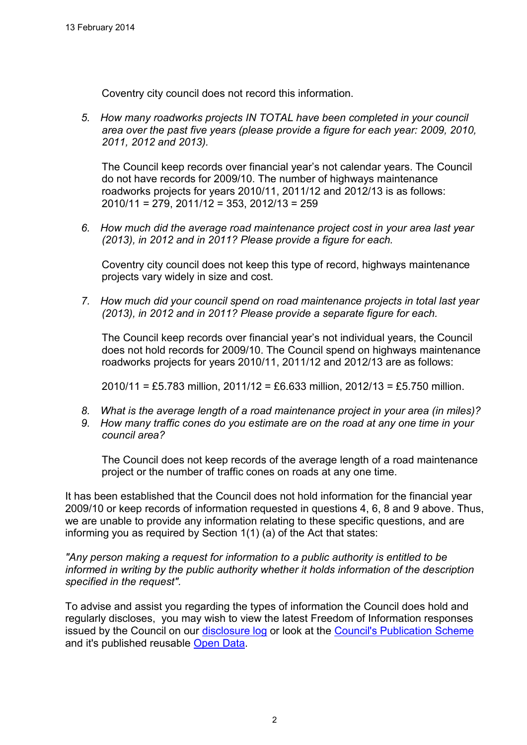Coventry city council does not record this information.

*5. How many roadworks projects IN TOTAL have been completed in your council area over the past five years (please provide a figure for each year: 2009, 2010, 2011, 2012 and 2013).* 

The Council keep records over financial year's not calendar years. The Council do not have records for 2009/10. The number of highways maintenance roadworks projects for years 2010/11, 2011/12 and 2012/13 is as follows: 2010/11 = 279, 2011/12 = 353, 2012/13 = 259

*6. How much did the average road maintenance project cost in your area last year (2013), in 2012 and in 2011? Please provide a figure for each.* 

Coventry city council does not keep this type of record, highways maintenance projects vary widely in size and cost.

*7. How much did your council spend on road maintenance projects in total last year (2013), in 2012 and in 2011? Please provide a separate figure for each.* 

The Council keep records over financial year's not individual years, the Council does not hold records for 2009/10. The Council spend on highways maintenance roadworks projects for years 2010/11, 2011/12 and 2012/13 are as follows:

2010/11 = £5.783 million, 2011/12 = £6.633 million, 2012/13 = £5.750 million.

- *8. What is the average length of a road maintenance project in your area (in miles)?*
- *9. How many traffic cones do you estimate are on the road at any one time in your council area?*

The Council does not keep records of the average length of a road maintenance project or the number of traffic cones on roads at any one time.

It has been established that the Council does not hold information for the financial year 2009/10 or keep records of information requested in questions 4, 6, 8 and 9 above. Thus, we are unable to provide any information relating to these specific questions, and are informing you as required by Section 1(1) (a) of the Act that states:

*"Any person making a request for information to a public authority is entitled to be informed in writing by the public authority whether it holds information of the description specified in the request".* 

To advise and assist you regarding the types of information the Council does hold and regularly discloses, you may wish to view the latest Freedom of Information responses issued by the Council on our [disclosure log](http://www.coventry.gov.uk/foieirrequests) or look at the [Council's Publication Scheme](http://www.coventry.gov.uk/info/200031/data_protection_and_freedom_of_information/380/publication_scheme) and it's published reusable [Open Data.](http://www.coventry.gov.uk/a_to_z/service/824/open_data)